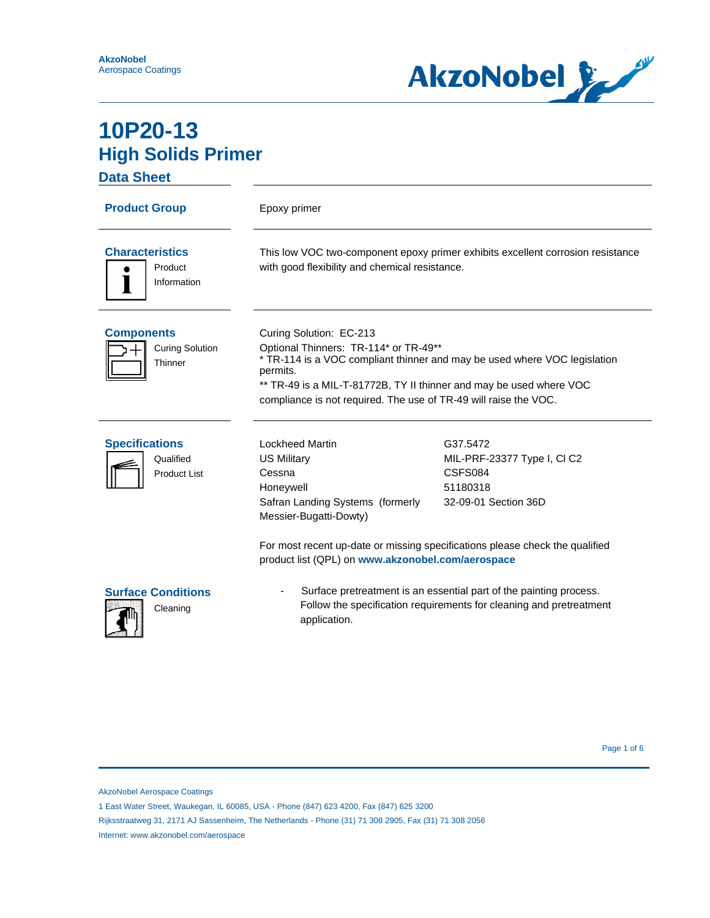

**Data Sheet**

| <b>Product Group</b>                                      | Epoxy primer                                                                                                                                                                                                                                                                                         |                                                                                                                                                                        |
|-----------------------------------------------------------|------------------------------------------------------------------------------------------------------------------------------------------------------------------------------------------------------------------------------------------------------------------------------------------------------|------------------------------------------------------------------------------------------------------------------------------------------------------------------------|
| <b>Characteristics</b><br>Product<br>Information          | This low VOC two-component epoxy primer exhibits excellent corrosion resistance<br>with good flexibility and chemical resistance.                                                                                                                                                                    |                                                                                                                                                                        |
| <b>Components</b><br><b>Curing Solution</b><br>Thinner    | Curing Solution: EC-213<br>Optional Thinners: TR-114* or TR-49**<br>* TR-114 is a VOC compliant thinner and may be used where VOC legislation<br>permits.<br>** TR-49 is a MIL-T-81772B, TY II thinner and may be used where VOC<br>compliance is not required. The use of TR-49 will raise the VOC. |                                                                                                                                                                        |
| <b>Specifications</b><br>Qualified<br><b>Product List</b> | <b>Lockheed Martin</b><br><b>US Military</b><br>Cessna<br>Honeywell<br>Safran Landing Systems (formerly<br>Messier-Bugatti-Dowty)<br>product list (QPL) on www.akzonobel.com/aerospace                                                                                                               | G37.5472<br>MIL-PRF-23377 Type I, CI C2<br>CSFS084<br>51180318<br>32-09-01 Section 36D<br>For most recent up-date or missing specifications please check the qualified |
| <b>Surface Conditions</b><br>Cleaning                     | Surface pretreatment is an essential part of the painting process.<br>Follow the specification requirements for cleaning and pretreatment<br>application.                                                                                                                                            |                                                                                                                                                                        |

AkzoNobel Aerospace Coatings

1 East Water Street, Waukegan, IL 60085, USA - Phone (847) 623 4200, Fax (847) 625 3200

Rijksstraatweg 31, 2171 AJ Sassenheim, The Netherlands - Phone (31) 71 308 2905, Fax (31) 71 308 2056

Internet: www.akzonobel.com/aerospace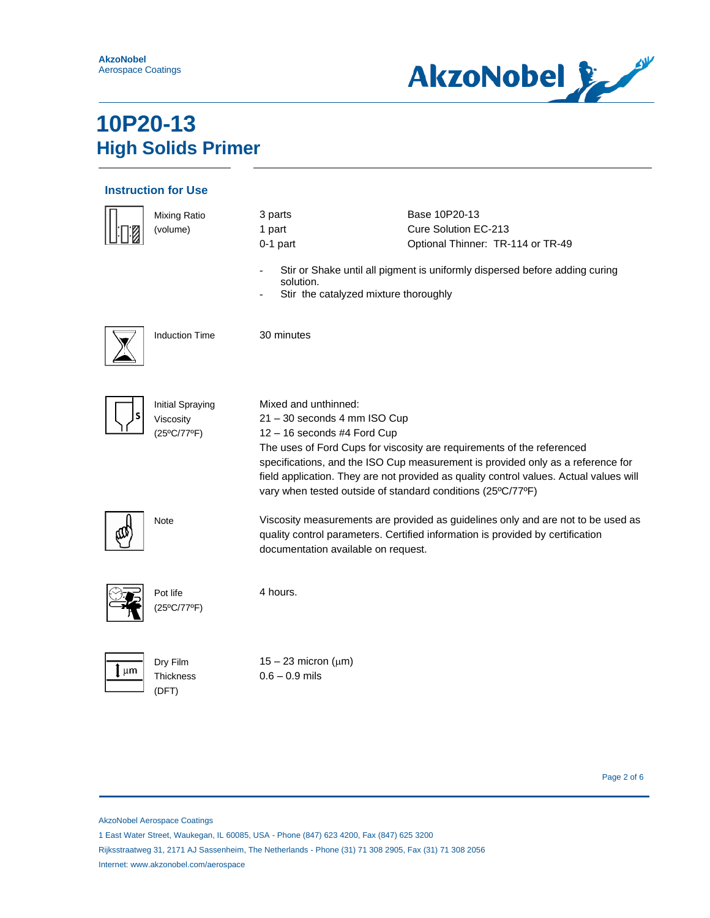

### **Instruction for Use**

|                 | <b>Mixing Ratio</b><br>(volume)                     | 3 parts<br>1 part<br>$0-1$ part<br>solution.<br>Stir the catalyzed mixture thoroughly                                                              | Base 10P20-13<br>Cure Solution EC-213<br>Optional Thinner: TR-114 or TR-49<br>Stir or Shake until all pigment is uniformly dispersed before adding curing                                                                                           |
|-----------------|-----------------------------------------------------|----------------------------------------------------------------------------------------------------------------------------------------------------|-----------------------------------------------------------------------------------------------------------------------------------------------------------------------------------------------------------------------------------------------------|
|                 | <b>Induction Time</b>                               | 30 minutes                                                                                                                                         |                                                                                                                                                                                                                                                     |
|                 | <b>Initial Spraying</b><br>Viscosity<br>(25°C/77°F) | Mixed and unthinned:<br>21 - 30 seconds 4 mm ISO Cup<br>12 - 16 seconds #4 Ford Cup<br>vary when tested outside of standard conditions (25°C/77°F) | The uses of Ford Cups for viscosity are requirements of the referenced<br>specifications, and the ISO Cup measurement is provided only as a reference for<br>field application. They are not provided as quality control values. Actual values will |
|                 | Note                                                | documentation available on request.                                                                                                                | Viscosity measurements are provided as guidelines only and are not to be used as<br>quality control parameters. Certified information is provided by certification                                                                                  |
|                 | Pot life<br>(25°C/77°F)                             | 4 hours.                                                                                                                                           |                                                                                                                                                                                                                                                     |
| $\mathbf{l}$ µm | Dry Film<br>Thickness<br>(DFT)                      | $15 - 23$ micron ( $\mu$ m)<br>$0.6 - 0.9$ mils                                                                                                    |                                                                                                                                                                                                                                                     |

Page 2 of 6

AkzoNobel Aerospace Coatings

1 East Water Street, Waukegan, IL 60085, USA - Phone (847) 623 4200, Fax (847) 625 3200

Rijksstraatweg 31, 2171 AJ Sassenheim, The Netherlands - Phone (31) 71 308 2905, Fax (31) 71 308 2056 Internet: www.akzonobel.com/aerospace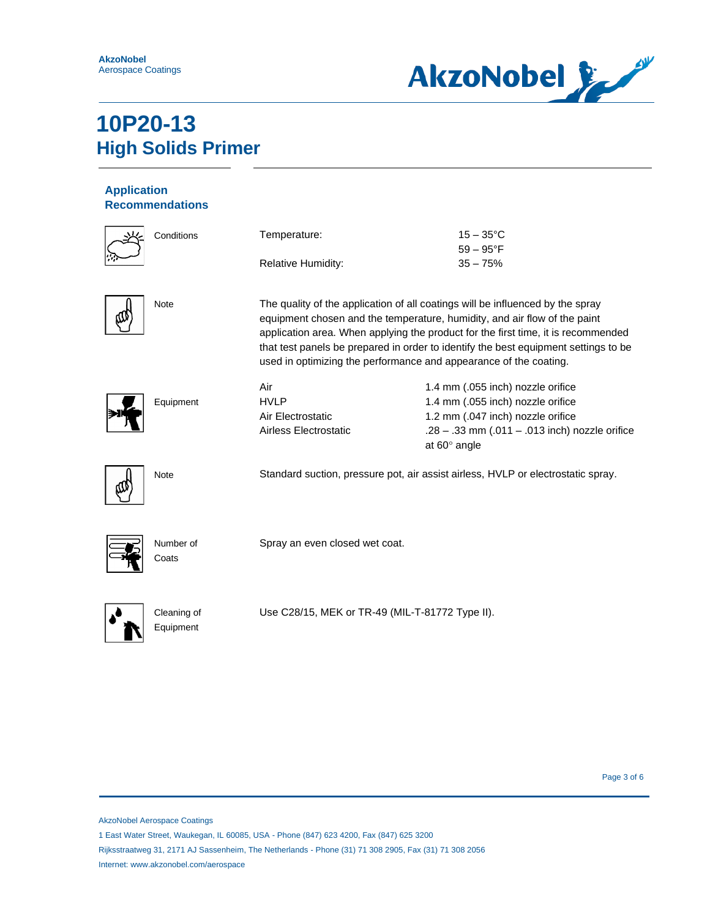

### **Application Recommendations**

| Conditions               | Temperature:                                                                                                                                                                                                                                                                                                                                                                                                 | $15 - 35^{\circ}$ C<br>$59 - 95^{\circ}F$                             |
|--------------------------|--------------------------------------------------------------------------------------------------------------------------------------------------------------------------------------------------------------------------------------------------------------------------------------------------------------------------------------------------------------------------------------------------------------|-----------------------------------------------------------------------|
|                          | Relative Humidity:                                                                                                                                                                                                                                                                                                                                                                                           | $35 - 75%$                                                            |
| Note                     | The quality of the application of all coatings will be influenced by the spray<br>equipment chosen and the temperature, humidity, and air flow of the paint<br>application area. When applying the product for the first time, it is recommended<br>that test panels be prepared in order to identify the best equipment settings to be<br>used in optimizing the performance and appearance of the coating. |                                                                       |
|                          | Air                                                                                                                                                                                                                                                                                                                                                                                                          | 1.4 mm (.055 inch) nozzle orifice                                     |
| Equipment                | <b>HVLP</b>                                                                                                                                                                                                                                                                                                                                                                                                  | 1.4 mm (.055 inch) nozzle orifice                                     |
|                          | Air Electrostatic                                                                                                                                                                                                                                                                                                                                                                                            | 1.2 mm (.047 inch) nozzle orifice                                     |
|                          | Airless Electrostatic                                                                                                                                                                                                                                                                                                                                                                                        | .28 - .33 mm (.011 - .013 inch) nozzle orifice<br>at $60^\circ$ angle |
| Note                     | Standard suction, pressure pot, air assist airless, HVLP or electrostatic spray.                                                                                                                                                                                                                                                                                                                             |                                                                       |
| Number of<br>Coats       | Spray an even closed wet coat.                                                                                                                                                                                                                                                                                                                                                                               |                                                                       |
| Cleaning of<br>Equipment | Use C28/15, MEK or TR-49 (MIL-T-81772 Type II).                                                                                                                                                                                                                                                                                                                                                              |                                                                       |

Page 3 of 6

AkzoNobel Aerospace Coatings

1 East Water Street, Waukegan, IL 60085, USA - Phone (847) 623 4200, Fax (847) 625 3200

Rijksstraatweg 31, 2171 AJ Sassenheim, The Netherlands - Phone (31) 71 308 2905, Fax (31) 71 308 2056 Internet: www.akzonobel.com/aerospace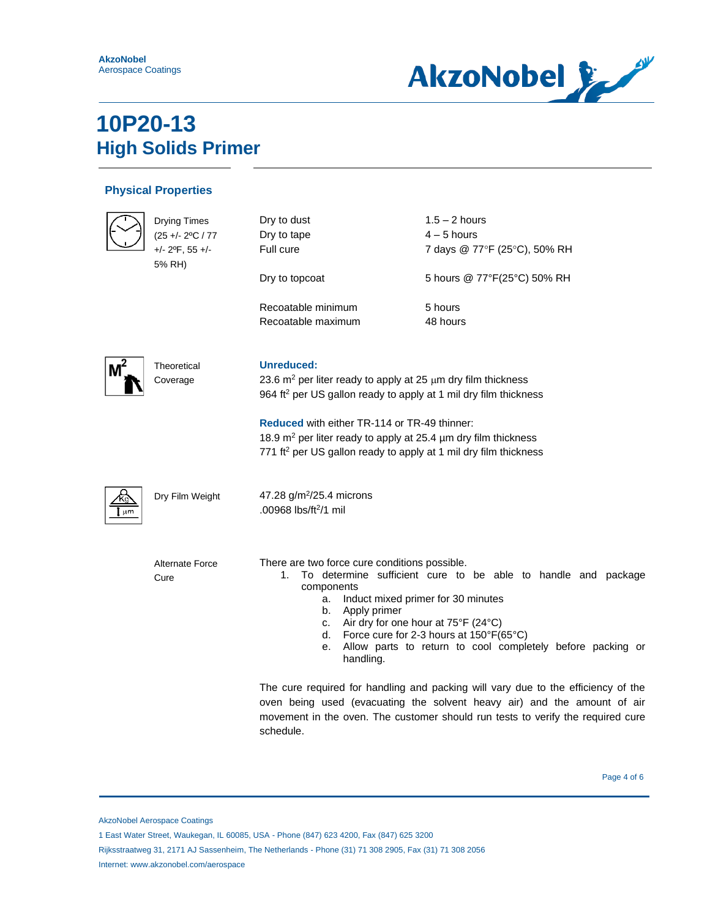

### **Physical Properties**

|    | <b>Drying Times</b>                        | Dry to dust                                                                                                                                                                                                                                                                           | $1.5 - 2$ hours                                                                   |
|----|--------------------------------------------|---------------------------------------------------------------------------------------------------------------------------------------------------------------------------------------------------------------------------------------------------------------------------------------|-----------------------------------------------------------------------------------|
|    | $(25 + - 2$ °C / 77                        | Dry to tape                                                                                                                                                                                                                                                                           | $4 - 5$ hours                                                                     |
|    | $+/- 2$ <sup>o</sup> F, 55 $+/-$<br>5% RH) | Full cure                                                                                                                                                                                                                                                                             | 7 days @ 77°F (25°C), 50% RH                                                      |
|    |                                            | Dry to topcoat                                                                                                                                                                                                                                                                        | 5 hours @ 77°F(25°C) 50% RH                                                       |
|    |                                            | Recoatable minimum                                                                                                                                                                                                                                                                    | 5 hours                                                                           |
|    |                                            | Recoatable maximum                                                                                                                                                                                                                                                                    | 48 hours                                                                          |
|    | Theoretical                                | Unreduced:                                                                                                                                                                                                                                                                            |                                                                                   |
|    | Coverage                                   | 23.6 $m^2$ per liter ready to apply at 25 $\mu$ m dry film thickness<br>964 ft <sup>2</sup> per US gallon ready to apply at 1 mil dry film thickness<br><b>Reduced with either TR-114 or TR-49 thinner:</b><br>18.9 $m^2$ per liter ready to apply at 25.4 $\mu$ m dry film thickness |                                                                                   |
|    |                                            |                                                                                                                                                                                                                                                                                       |                                                                                   |
|    |                                            |                                                                                                                                                                                                                                                                                       |                                                                                   |
|    |                                            | 771 ft <sup>2</sup> per US gallon ready to apply at 1 mil dry film thickness                                                                                                                                                                                                          |                                                                                   |
| µm | Dry Film Weight                            | 47.28 g/m <sup>2</sup> /25.4 microns<br>.00968 lbs/ft <sup>2</sup> /1 mil                                                                                                                                                                                                             |                                                                                   |
|    | <b>Alternate Force</b>                     | There are two force cure conditions possible.<br>1.                                                                                                                                                                                                                                   | To determine sufficient cure to be able to handle and package                     |
|    | Cure                                       | components<br>a.                                                                                                                                                                                                                                                                      | Induct mixed primer for 30 minutes                                                |
|    |                                            | Apply primer<br>b.                                                                                                                                                                                                                                                                    |                                                                                   |
|    |                                            | c. Air dry for one hour at 75°F (24°C)<br>d.                                                                                                                                                                                                                                          | Force cure for 2-3 hours at 150°F(65°C)                                           |
|    |                                            | е.<br>handling.                                                                                                                                                                                                                                                                       | Allow parts to return to cool completely before packing or                        |
|    |                                            |                                                                                                                                                                                                                                                                                       | The cure required for handling and packing will vary due to the efficiency of the |
|    |                                            |                                                                                                                                                                                                                                                                                       | oven being used (evacuating the solvent heavy air) and the amount of air          |
|    |                                            |                                                                                                                                                                                                                                                                                       | movement in the oven. The customer should run tests to verify the required cure   |

Page 4 of 6

Rijksstraatweg 31, 2171 AJ Sassenheim, The Netherlands - Phone (31) 71 308 2905, Fax (31) 71 308 2056

schedule.

Internet: www.akzonobel.com/aerospace

AkzoNobel Aerospace Coatings

<sup>1</sup> East Water Street, Waukegan, IL 60085, USA - Phone (847) 623 4200, Fax (847) 625 3200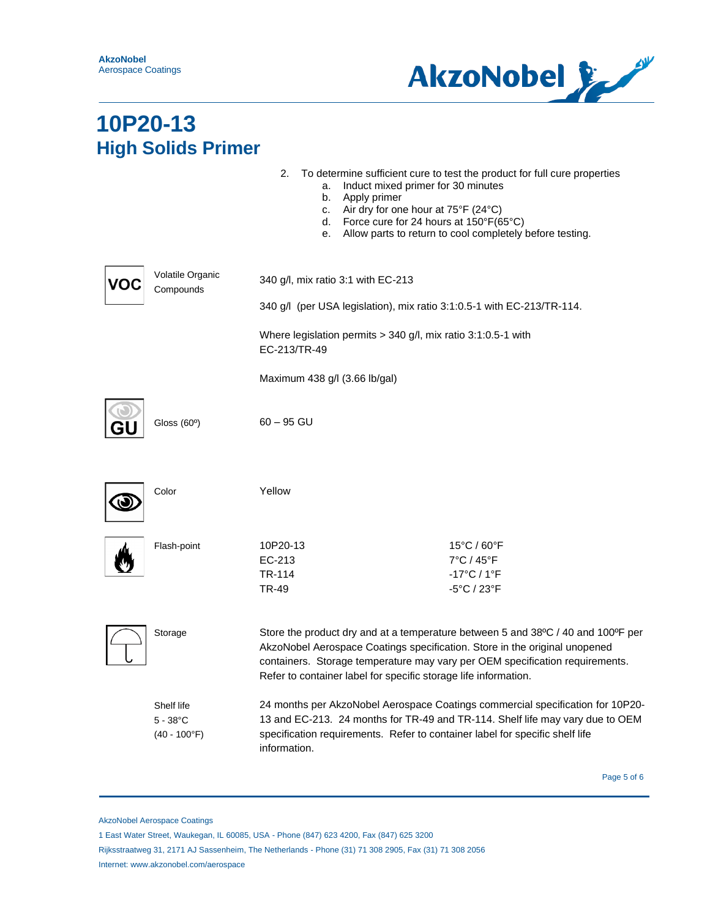

|                                                     | 2.<br>Induct mixed primer for 30 minutes<br>a.<br>b.<br>Apply primer<br>Air dry for one hour at 75°F (24°C)<br>c.<br>Force cure for 24 hours at 150°F(65°C)<br>d.<br>е.                                                                                                                                           | To determine sufficient cure to test the product for full cure properties<br>Allow parts to return to cool completely before testing. |
|-----------------------------------------------------|-------------------------------------------------------------------------------------------------------------------------------------------------------------------------------------------------------------------------------------------------------------------------------------------------------------------|---------------------------------------------------------------------------------------------------------------------------------------|
| Volatile Organic<br>Compounds                       | 340 g/l, mix ratio 3:1 with EC-213<br>340 g/l (per USA legislation), mix ratio 3:1:0.5-1 with EC-213/TR-114.                                                                                                                                                                                                      |                                                                                                                                       |
|                                                     |                                                                                                                                                                                                                                                                                                                   |                                                                                                                                       |
|                                                     | Where legislation permits > 340 g/l, mix ratio 3:1:0.5-1 with<br>EC-213/TR-49                                                                                                                                                                                                                                     |                                                                                                                                       |
|                                                     | Maximum 438 g/l (3.66 lb/gal)                                                                                                                                                                                                                                                                                     |                                                                                                                                       |
| Gloss $(60°)$                                       | $60 - 95$ GU                                                                                                                                                                                                                                                                                                      |                                                                                                                                       |
| Color                                               | Yellow                                                                                                                                                                                                                                                                                                            |                                                                                                                                       |
| Flash-point                                         | 10P20-13<br>EC-213<br>TR-114<br>TR-49                                                                                                                                                                                                                                                                             | 15°C / 60°F<br>$7^{\circ}$ C / 45 $^{\circ}$ F<br>$-17^{\circ}$ C / 1 $^{\circ}$ F<br>-5°C / 23°F                                     |
| Storage                                             | Store the product dry and at a temperature between 5 and 38°C / 40 and 100°F per<br>AkzoNobel Aerospace Coatings specification. Store in the original unopened<br>containers. Storage temperature may vary per OEM specification requirements.<br>Refer to container label for specific storage life information. |                                                                                                                                       |
| Shelf life<br>$5 - 38^{\circ}$ C<br>$(40 - 100$ °F) | 24 months per AkzoNobel Aerospace Coatings commercial specification for 10P20-<br>13 and EC-213. 24 months for TR-49 and TR-114. Shelf life may vary due to OEM<br>specification requirements. Refer to container label for specific shelf life<br>information.                                                   |                                                                                                                                       |
|                                                     |                                                                                                                                                                                                                                                                                                                   |                                                                                                                                       |

Page 5 of 6

AkzoNobel Aerospace Coatings

<sup>1</sup> East Water Street, Waukegan, IL 60085, USA - Phone (847) 623 4200, Fax (847) 625 3200

Rijksstraatweg 31, 2171 AJ Sassenheim, The Netherlands - Phone (31) 71 308 2905, Fax (31) 71 308 2056 Internet: www.akzonobel.com/aerospace